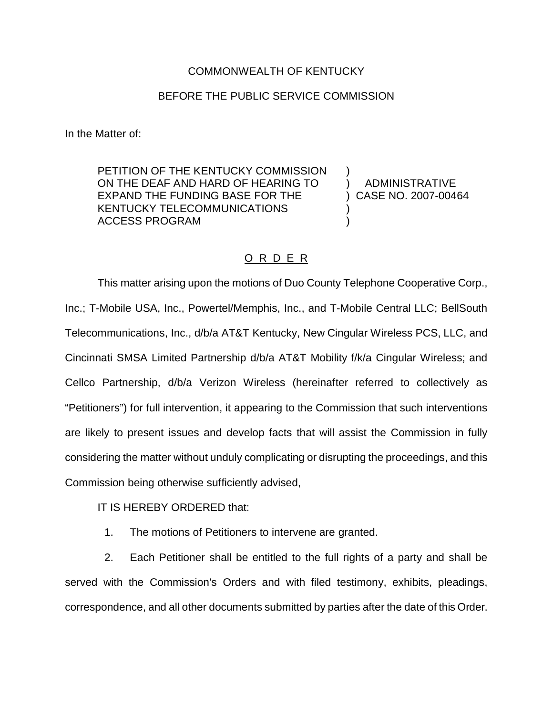## COMMONWEALTH OF KENTUCKY

## BEFORE THE PUBLIC SERVICE COMMISSION

In the Matter of:

PETITION OF THE KENTUCKY COMMISSION ON THE DEAF AND HARD OF HEARING TO EXPAND THE FUNDING BASE FOR THE KENTUCKY TELECOMMUNICATIONS ACCESS PROGRAM

) ADMINISTRATIVE ) CASE NO. 2007-00464 )

)

)

## O R D E R

This matter arising upon the motions of Duo County Telephone Cooperative Corp., Inc.; T-Mobile USA, Inc., Powertel/Memphis, Inc., and T-Mobile Central LLC; BellSouth Telecommunications, Inc., d/b/a AT&T Kentucky, New Cingular Wireless PCS, LLC, and Cincinnati SMSA Limited Partnership d/b/a AT&T Mobility f/k/a Cingular Wireless; and Cellco Partnership, d/b/a Verizon Wireless (hereinafter referred to collectively as "Petitioners") for full intervention, it appearing to the Commission that such interventions are likely to present issues and develop facts that will assist the Commission in fully considering the matter without unduly complicating or disrupting the proceedings, and this Commission being otherwise sufficiently advised,

IT IS HEREBY ORDERED that:

1. The motions of Petitioners to intervene are granted.

2. Each Petitioner shall be entitled to the full rights of a party and shall be served with the Commission's Orders and with filed testimony, exhibits, pleadings, correspondence, and all other documents submitted by parties after the date of this Order.